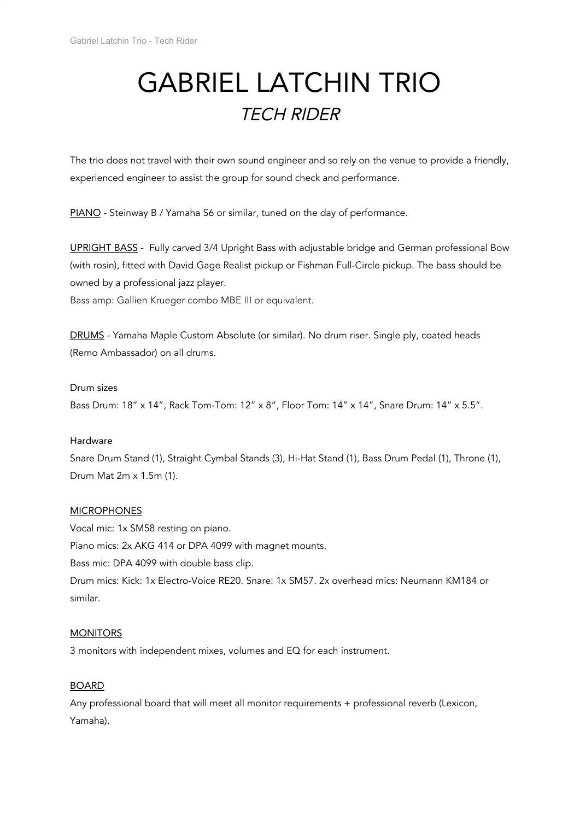# GABRIEL LATCHIN TRIO TECH RIDER

The trio does not travel with their own sound engineer and so rely on the venue to provide a friendly, experienced engineer to assist the group for sound check and performance.

PIANO - Steinway B / Yamaha S6 or similar, tuned on the day of performance.

UPRIGHT BASS - Fully carved 3/4 Upright Bass with adjustable bridge and German professional Bow (with rosin), fitted with David Gage Realist pickup or Fishman Full-Circle pickup. The bass should be owned by a professional jazz player.

Bass amp: Gallien Krueger combo MBE III or equivalent.

DRUMS - Yamaha Maple Custom Absolute (or similar). No drum riser. Single ply, coated heads (Remo Ambassador) on all drums.

## Drum sizes

Bass Drum: 18" x 14", Rack Tom-Tom: 12" x 8", Floor Tom: 14" x 14", Snare Drum: 14" x 5.5".

#### Hardware

Snare Drum Stand (1), Straight Cymbal Stands (3), Hi-Hat Stand (1), Bass Drum Pedal (1), Throne (1), Drum Mat 2m x 1.5m (1).

#### **MICROPHONES**

Vocal mic: 1x SM58 resting on piano. Piano mics: 2x AKG 414 or DPA 4099 with magnet mounts. Bass mic: DPA 4099 with double bass clip. Drum mics: Kick: 1x Electro-Voice RE20. Snare: 1x SM57. 2x overhead mics: Neumann KM184 or similar.

#### **MONITORS**

3 monitors with independent mixes, volumes and EQ for each instrument.

# **BOARD**

Any professional board that will meet all monitor requirements + professional reverb (Lexicon, Yamaha).